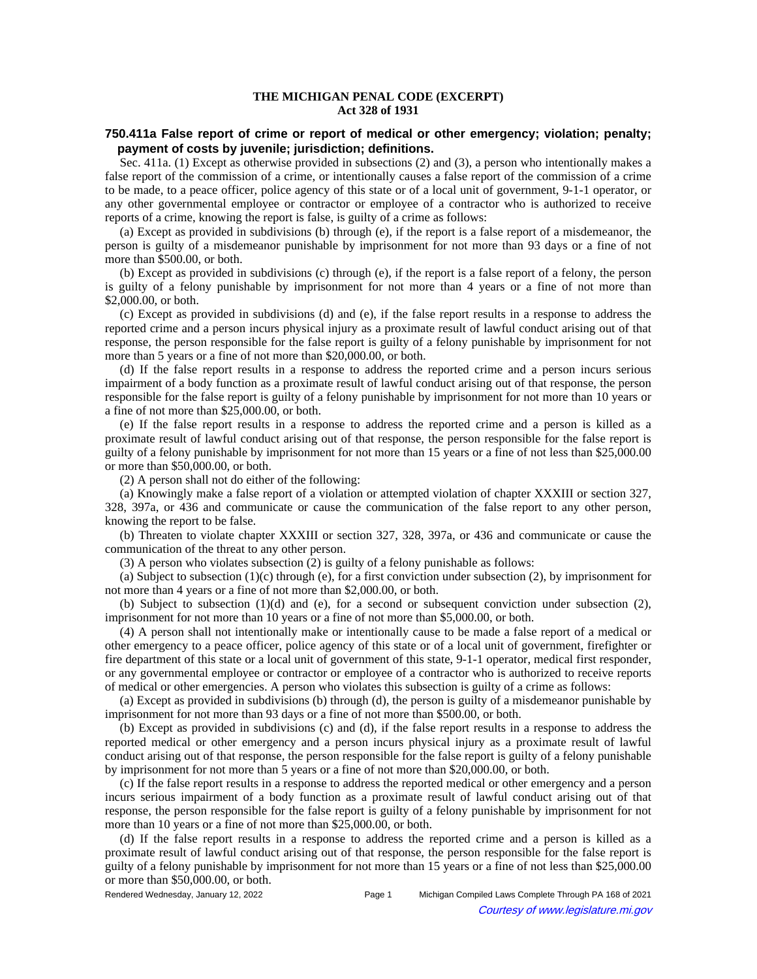## **THE MICHIGAN PENAL CODE (EXCERPT) Act 328 of 1931**

## **750.411a False report of crime or report of medical or other emergency; violation; penalty; payment of costs by juvenile; jurisdiction; definitions.**

Sec. 411a. (1) Except as otherwise provided in subsections (2) and (3), a person who intentionally makes a false report of the commission of a crime, or intentionally causes a false report of the commission of a crime to be made, to a peace officer, police agency of this state or of a local unit of government, 9-1-1 operator, or any other governmental employee or contractor or employee of a contractor who is authorized to receive reports of a crime, knowing the report is false, is guilty of a crime as follows:

(a) Except as provided in subdivisions (b) through (e), if the report is a false report of a misdemeanor, the person is guilty of a misdemeanor punishable by imprisonment for not more than 93 days or a fine of not more than \$500.00, or both.

(b) Except as provided in subdivisions (c) through (e), if the report is a false report of a felony, the person is guilty of a felony punishable by imprisonment for not more than 4 years or a fine of not more than \$2,000.00, or both.

(c) Except as provided in subdivisions (d) and (e), if the false report results in a response to address the reported crime and a person incurs physical injury as a proximate result of lawful conduct arising out of that response, the person responsible for the false report is guilty of a felony punishable by imprisonment for not more than 5 years or a fine of not more than \$20,000.00, or both.

(d) If the false report results in a response to address the reported crime and a person incurs serious impairment of a body function as a proximate result of lawful conduct arising out of that response, the person responsible for the false report is guilty of a felony punishable by imprisonment for not more than 10 years or a fine of not more than \$25,000.00, or both.

(e) If the false report results in a response to address the reported crime and a person is killed as a proximate result of lawful conduct arising out of that response, the person responsible for the false report is guilty of a felony punishable by imprisonment for not more than 15 years or a fine of not less than \$25,000.00 or more than \$50,000.00, or both.

(2) A person shall not do either of the following:

(a) Knowingly make a false report of a violation or attempted violation of chapter XXXIII or section 327, 328, 397a, or 436 and communicate or cause the communication of the false report to any other person, knowing the report to be false.

(b) Threaten to violate chapter XXXIII or section 327, 328, 397a, or 436 and communicate or cause the communication of the threat to any other person.

(3) A person who violates subsection (2) is guilty of a felony punishable as follows:

(a) Subject to subsection (1)(c) through (e), for a first conviction under subsection (2), by imprisonment for not more than 4 years or a fine of not more than \$2,000.00, or both.

(b) Subject to subsection  $(1)(d)$  and (e), for a second or subsequent conviction under subsection  $(2)$ , imprisonment for not more than 10 years or a fine of not more than \$5,000.00, or both.

(4) A person shall not intentionally make or intentionally cause to be made a false report of a medical or other emergency to a peace officer, police agency of this state or of a local unit of government, firefighter or fire department of this state or a local unit of government of this state, 9-1-1 operator, medical first responder, or any governmental employee or contractor or employee of a contractor who is authorized to receive reports of medical or other emergencies. A person who violates this subsection is guilty of a crime as follows:

(a) Except as provided in subdivisions (b) through (d), the person is guilty of a misdemeanor punishable by imprisonment for not more than 93 days or a fine of not more than \$500.00, or both.

(b) Except as provided in subdivisions (c) and (d), if the false report results in a response to address the reported medical or other emergency and a person incurs physical injury as a proximate result of lawful conduct arising out of that response, the person responsible for the false report is guilty of a felony punishable by imprisonment for not more than 5 years or a fine of not more than \$20,000.00, or both.

(c) If the false report results in a response to address the reported medical or other emergency and a person incurs serious impairment of a body function as a proximate result of lawful conduct arising out of that response, the person responsible for the false report is guilty of a felony punishable by imprisonment for not more than 10 years or a fine of not more than \$25,000.00, or both.

(d) If the false report results in a response to address the reported crime and a person is killed as a proximate result of lawful conduct arising out of that response, the person responsible for the false report is guilty of a felony punishable by imprisonment for not more than 15 years or a fine of not less than \$25,000.00 or more than \$50,000.00, or both.